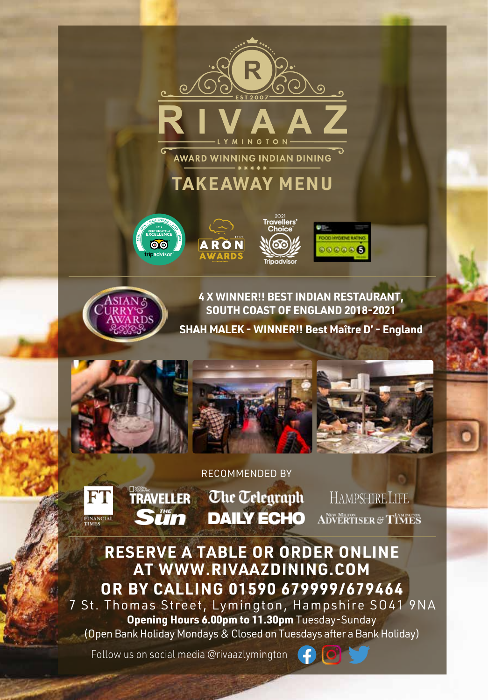

AWARD WINNING INDIAN DINING

# **TAKEAWAY MENU**









**4 X WINNER!! BEST INDIAN RESTAURANT, SOUTH COAST OF ENGLAND 2018-2021**

**SHAH MALEK - WINNER!! Best Maître D' - England**



### RECOMMENDED BY



O<br>**Traveller** *Che Telegraph* **DAILY ECHO** 

HAMPSHIRE LIFE **ADVERTISER & TIMES** 

# **RESERVE A TABLE OR ORDER ONLINE AT WWW.RIVAAZDINING.COM OR BY CALLING 01590 679999/679464**

7 St. Thomas Street, Lymington, Hampshire SO41 9NA **Opening Hours 6.00pm to 11.30pm** Tuesday-Sunday (Open Bank Holiday Mondays & Closed on Tuesdays after a Bank Holiday)

Follow us on social media @rivaazlymington

**Sün** 

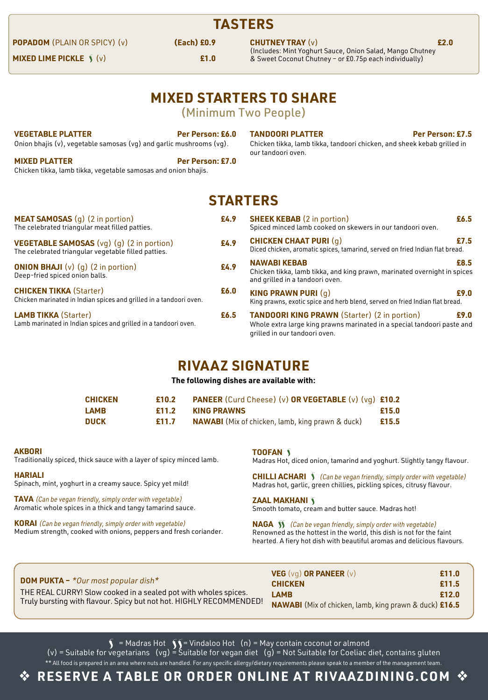## **TASTERS**

**POPADOM** (PLAIN OR SPICY) (v) **(Each) £0.9**

**MIXED LIME PICKLE**  $\hat{y}(y)$  **£1.0** 

**CHUTNEY TRAY** (v) **£2.0** (Includes: Mint Yoghurt Sauce, Onion Salad, Mango Chutney & Sweet Coconut Chutney – or £0.75p each individually)

# **MIXED STARTERS TO SHARE**

(Minimum Two People)

| VEGETABLE PLATTER                                                   | Per Person: £6.0 |
|---------------------------------------------------------------------|------------------|
| Onion bhajis (v), vegetable samosas (vg) and garlic mushrooms (vg). |                  |

**MIXED PLATTER Per Person: £7.0** Chicken tikka, lamb tikka, vegetable samosas and onion bhajis.

**TANDOORI PLATTER Per Person: £7.5**

Chicken tikka, lamb tikka, tandoori chicken, and sheek kebab grilled in our tandoori oven.

### **STARTERS**

| <b>MEAT SAMOSAS</b> (q) (2 in portion)<br>The celebrated triangular meat filled patties.                | £4.9 | <b>SHEEK KEBAB</b> (2 in portion)<br>Spiced minced lamb cooked on skewers in our tandoori oven.                                                                 | £6.5 |
|---------------------------------------------------------------------------------------------------------|------|-----------------------------------------------------------------------------------------------------------------------------------------------------------------|------|
| <b>VEGETABLE SAMOSAS</b> (vq) (q) (2 in portion)<br>The celebrated triangular vegetable filled patties. | £4.9 | <b>CHICKEN CHAAT PURI (q)</b><br>Diced chicken, aromatic spices, tamarind, served on fried Indian flat bread.                                                   | £7.5 |
| <b>ONION BHAJI</b> (v) $(g)$ (2 in portion)<br>Deep-fried spiced onion balls.                           | £4.9 | <b>NAWABI KEBAB</b><br>Chicken tikka, lamb tikka, and king prawn, marinated overnight in spices<br>and grilled in a tandoori oven.                              | £8.5 |
| <b>CHICKEN TIKKA (Starter)</b><br>Chicken marinated in Indian spices and grilled in a tandoori oven.    | £6.0 | <b>KING PRAWN PURI <math>(q)</math></b><br>King prawns, exotic spice and herb blend, served on fried Indian flat bread.                                         | £9.0 |
| <b>LAMB TIKKA (Starter)</b><br>Lamb marinated in Indian spices and grilled in a tandoori oven.          | £6.5 | <b>TANDOORI KING PRAWN</b> (Starter) (2 in portion)<br>Whole extra large king prawns marinated in a special tandoori paste and<br>arilled in our tandoori oven. | £9.0 |

### **RIVA AZ SIGNATURE**

#### **The following dishes are available with:**

| <b>CHICKEN</b> | £10.2 | <b>PANEER</b> (Curd Cheese) (v) OR VEGETABLE (v) (vg) £10.2 |       |
|----------------|-------|-------------------------------------------------------------|-------|
| <b>LAMB</b>    | £11.2 | <b>KING PRAWNS</b>                                          | £15.0 |
| <b>DUCK</b>    | £11.7 | <b>NAWABI</b> (Mix of chicken, lamb, king prawn & duck)     | £15.5 |

#### **AKBORI**

Traditionally spiced, thick sauce with a layer of spicy minced lamb.

#### **HARIALI**

Spinach, mint, yoghurt in a creamy sauce. Spicy yet mild!

**TAVA** (Can be vegan friendly, simply order with vegetable) Aromatic whole spices in a thick and tangy tamarind sauce.

**KORAI** (Can be vegan friendly, simply order with vegetable) Medium strength, cooked with onions, peppers and fresh coriander. **TOOFAN** 

Madras Hot, diced onion, tamarind and yoghurt. Slightly tangy flavour.

**CHILLI ACHARI S** (Can be vegan friendly, simply order with vegetable) Madras hot, garlic, green chillies, pickling spices, citrusy flavour.

**ZAAL MAKHANI** 

Smooth tomato, cream and butter sauce. Madras hot!

**NAGA** (Can be vegan friendly, simply order with vegetable) Renowned as the hottest in the world, this dish is not for the faint hearted. A fiery hot dish with beautiful aromas and delicious flavours.

| <b>DOM PUKTA - *</b> Our most popular dish*                                                                                            | <b>VEG</b> ( $\vee$ q) <b>OR PANEER</b> ( $\vee$ )<br><b>CHICKEN</b>                | £11.0<br>£11.5 |
|----------------------------------------------------------------------------------------------------------------------------------------|-------------------------------------------------------------------------------------|----------------|
| THE REAL CURRY! Slow cooked in a sealed pot with wholes spices.<br>Truly bursting with flavour. Spicy but not hot. HIGHLY RECOMMENDED! | <b>LAMB</b><br><b>NAWABI</b> (Mix of chicken, lamb, king prawn & duck) <b>£16.5</b> | £12.0          |

 $=$  Madras Hot  $\bigcirc$   $=$  Vindaloo Hot  $(n)$  = May contain coconut or almond (v) = Suitable for vegetarians (vg) = Suitable for vegan diet (g) = Not Suitable for Coeliac diet, contains gluten \*\* All food is prepared in an area where nuts are handled. For any specific allergy/dietary requirements please speak to a member of the management team.

# **RESERVE A TABLE OR ORDER ONLINE AT RIVAAZDINING.COM**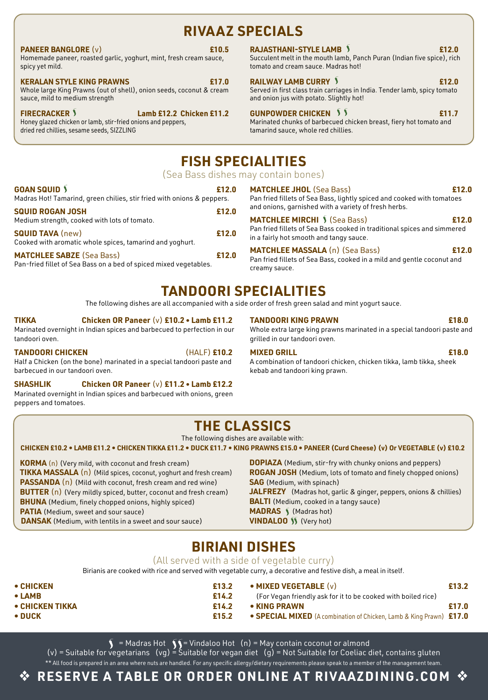## **RIVA AZ SPECIALS**

### **PANEER BANGLORE** (v) **£10.5**

Homemade paneer, roasted garlic, yoghurt, mint, fresh cream sauce, spicy yet mild.

### **KERALAN STYLE KING PRAWNS £17.0**

Whole large King Prawns (out of shell), onion seeds, coconut & cream sauce, mild to medium strength

**FIRECRACKER \** Lamb £12.2 Chicken £11.2 Honey glazed chicken or lamb, stir-fried onions and peppers, dried red chillies, sesame seeds, SIZZLING

### **RAJASTHANI-STYLE LAMB £12.0**

Succulent melt in the mouth lamb, Panch Puran (Indian five spice), rich tomato and cream sauce. Madras hot!

### **RAILWAY LAMB CURRY £12.0**

Served in first class train carriages in India. Tender lamb, spicy tomato and onion jus with potato. Slightly hot!

### **GUNPOWDER CHICKEN**

**£11.7** Marinated chunks of barbecued chicken breast, fiery hot tomato and tamarind sauce, whole red chillies.

# **FISH SPECIALITIES**

(Sea Bass dishes may contain bones)

| <b>GOAN SQUID \</b><br>Madras Hot! Tamarind, green chilies, stir fried with onions & peppers.         | £12.0 |
|-------------------------------------------------------------------------------------------------------|-------|
| <b>SQUID ROGAN JOSH</b><br>Medium strength, cooked with lots of tomato.                               | £12.0 |
| <b>SQUID TAVA (new)</b><br>Cooked with aromatic whole spices, tamarind and yoghurt.                   | £12.0 |
| <b>MATCHLEE SABZE (Sea Bass)</b><br>Pan-fried fillet of Sea Bass on a bed of spiced mixed vegetables. | £12.0 |

**MATCHLEE JHOL** (Sea Bass) **£12.0**

fried fillets of Sea Bass, lightly spiced and cooked with tomatoes onions, garnished with a variety of fresh herbs.

### **MATCHLEE MIRCHI** (Sea Bass) **£12.0**

fried fillets of Sea Bass cooked in traditional spices and simmered fairly hot smooth and tangy sauce.

**MATCHLEE MASSALA** (n) (Sea Bass) **£12.0** fried fillets of Sea Bass, cooked in a mild and gentle coconut and creamy sauce.

# **TANDOORI SPECIALITIES**

The following dishes are all accompanied with a side order of fresh green salad and mint yogurt sauce.

### **TIKKA Chicken OR Paneer** (v) **£10.2 • Lamb £11.2**

Marinated overnight in Indian spices and barbecued to perfection in our tandoori oven.

**TANDOORI CHICKEN** (HALF) **£10.2** Half a Chicken (on the bone) marinated in a special tandoori paste and barbecued in our tandoori oven.

### **SHASHLIK Chicken OR Paneer** (v) **£11.2 • Lamb £12.2**

Marinated overnight in Indian spices and barbecued with onions, green peppers and tomatoes.

**TANDOORI KING PRAWN £18.0**

Whole extra large king prawns marinated in a special tandoori paste and grilled in our tandoori oven.

### **MIXED GRILL £18.0**

A combination of tandoori chicken, chicken tikka, lamb tikka, sheek kebab and tandoori king prawn.

# **THE CLASSICS**

The following dishes are available with:

#### **CHICKEN £10.2 • LAMB £11.2 • CHICKEN TIKKA £11.2 • DUCK £11.7 • KING PRAWNS £15.0 • PANEER (Curd Cheese) (v) Or VEGETABLE (v) £10.2**

**KORMA** (n) (Very mild, with coconut and fresh cream) **TIKKA MASSALA** (n) (Mild spices, coconut, yoghurt and fresh cream) **PASSANDA** (n) (Mild with coconut, fresh cream and red wine) **BUTTER** (n) (Very mildly spiced, butter, coconut and fresh cream) **BHUNA** (Medium, finely chopped onions, highly spiced) **PATIA** (Medium, sweet and sour sauce) **DANSAK** (Medium, with lentils in a sweet and sour sauce)

**DOPIAZA** (Medium, stir-fry with chunky onions and peppers) **ROGAN JOSH** (Medium, lots of tomato and finely chopped onions) **SAG** (Medium, with spinach) **JALFREZY** (Madras hot, garlic & ginger, peppers, onions & chillies) **BALTI** (Medium, cooked in a tangy sauce) **MADRAS** (Madras hot) **VINDALOO** (Very hot)

### **BIRIANI DISHES**

### (All served with a side of vegetable curry)

Birianis are cooked with rice and served with vegetable curry, a decorative and festive dish, a meal in itself.

- **CHICKEN £13.2 • LAMB £14.2 • CHICKEN TIKKA £14.2 • DUCK £15.2 • MIXED VEGETABLE** (v) **£13.2** (For Vegan friendly ask for it to be cooked with boiled rice) **• KING PRAWN £17.0 • SPECIAL MIXED** (A combination of Chicken, Lamb & King Prawn) **£17.0**
	- $=$  Madras Hot  $\bigcirc$   $=$  Vindaloo Hot  $(n)$  = May contain coconut or almond

(v) = Suitable for vegetarians (vg) = Suitable for vegan diet (g) = Not Suitable for Coeliac diet, contains gluten \*\* All food is prepared in an area where nuts are handled. For any specific allergy/dietary requirements please speak to a member of the management team.

# **RESERVE A TABLE OR ORDER ONLINE AT RIVAAZDINING.COM**  $\cdot$